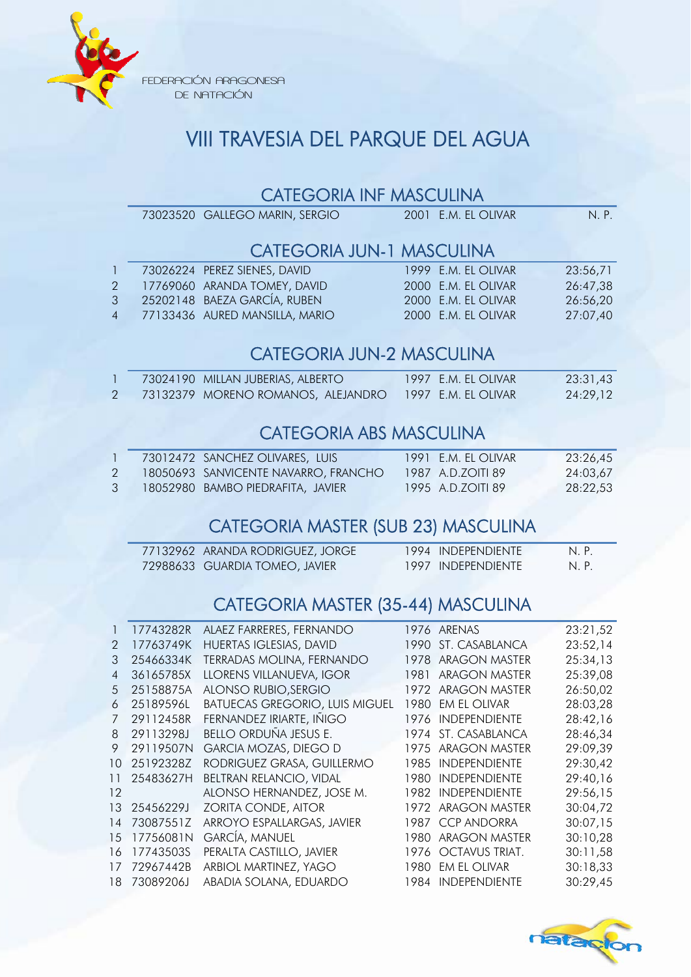

FEDERACIÓN ARAGONESA DE NATACIÓN

# VIII TRAVESIA DEL PARQUE DEL AGUA

#### CATEGORIA INF MASCULINA

|                | 73023520 GALLEGO MARIN, SERGIO   | 2001 E.M. EL OLIVAR              | N. P.    |
|----------------|----------------------------------|----------------------------------|----------|
|                |                                  | <b>CATEGORIA JUN-1 MASCULINA</b> |          |
| $1 -$          | 73026224 PEREZ SIENES, DAVID     | 1999 E.M. EL OLIVAR              | 23:56,71 |
| $2^{\circ}$    | 17769060 ARANDA TOMEY, DAVID     | 2000 E.M. EL OLIVAR              | 26:47,38 |
| 3 <sup>7</sup> | 25202148 BAEZA GARCÍA, RUBEN     | 2000 E.M. EL OLIVAR              | 26:56,20 |
|                | 4 77133436 AURED MANSILLA, MARIO | 2000 E.M. EL OLIVAR              | 27:07,40 |
|                |                                  |                                  |          |

## CATEGORIA JUN-2 MASCULINA

|  | 73024190 MILLAN JUBERIAS, ALBERTO I                    | 1997 E.M. EL OLIVAR | 23:31,43 |
|--|--------------------------------------------------------|---------------------|----------|
|  | 73132379 MORENO ROMANOS, ALEJANDRO 1997 E.M. EL OLIVAR |                     | 24:29.12 |

### CATEGORIA ABS MASCULINA

|  | 73012472 SANCHEZ OLIVARES, LUIS      | 1991 E.M. EL OLIVAR | 23:26.45 |
|--|--------------------------------------|---------------------|----------|
|  | 18050693 SANVICENTE NAVARRO, FRANCHO | 1987 A.D.ZOITI 89   | 24:03.67 |
|  | 18052980  BAMBO PIEDRAFITA, JAVIER   | 1995 A.D.ZOITI 89   | 28:22.53 |

### CATEGORIA MASTER (SUB 23) MASCULINA

| 77132962 ARANDA RODRIGUEZ, JORGE | 1994 INDEPENDIENTE | N.P. |
|----------------------------------|--------------------|------|
| 72988633 GUARDIA TOMEO, JAVIER   | 1997 INDEPENDIENTE | N.P. |

## CATEGORIA MASTER (35-44) MASCULINA

|                | 17743282R | ALAEZ FARRERES, FERNANDO              |       | 1976 ARENAS          | 23:21,52 |
|----------------|-----------|---------------------------------------|-------|----------------------|----------|
| $\mathcal{P}$  | 17763749K | HUERTAS IGLESIAS, DAVID               | 1990  | ST. CASABLANCA       | 23:52,14 |
| 3              | 25466334K | TERRADAS MOLINA, FERNANDO             | 1978  | <b>ARAGON MASTER</b> | 25:34,13 |
| $\overline{4}$ | 36165785X | LLORENS VILLANUEVA, IGOR              | 1981  | <b>ARAGON MASTER</b> | 25:39,08 |
| 5              | 25158875A | ALONSO RUBIO, SERGIO                  | 1972  | ARAGON MASTER        | 26:50,02 |
| 6              | 25189596L | <b>BATUECAS GREGORIO, LUIS MIGUEL</b> |       | 1980 EM EL OLIVAR    | 28:03,28 |
| 7              | 29112458R | FERNANDEZ IRIARTE, IÑIGO              | 1976  | <b>INDEPENDIENTE</b> | 28:42,16 |
| 8              | 29113298J | BELLO ORDUÑA JESUS E.                 |       | 1974 ST. CASABLANCA  | 28:46,34 |
| 9              | 29119507N | <b>GARCIA MOZAS, DIEGO D</b>          |       | 1975 ARAGON MASTER   | 29:09,39 |
| 10             | 25192328Z | RODRIGUEZ GRASA, GUILLERMO            | 1985  | <b>INDEPENDIENTE</b> | 29:30,42 |
| 11             | 25483627H | <b>BELTRAN RELANCIO, VIDAL</b>        | 1980. | <b>INDEPENDIENTE</b> | 29:40,16 |
| 12             |           | ALONSO HERNANDEZ, JOSE M.             |       | 1982 INDEPENDIENTE   | 29:56,15 |
| 13             | 25456229J | ZORITA CONDE, AITOR                   | 1972  | <b>ARAGON MASTER</b> | 30:04,72 |
| 14             | 73087551Z | ARROYO ESPALLARGAS, JAVIER            | 1987  | <b>CCP ANDORRA</b>   | 30:07,15 |
| 15             | 17756081N | <b>GARCÍA, MANUEL</b>                 | 1980  | <b>ARAGON MASTER</b> | 30:10,28 |
| 16             | 17743503S | PERALTA CASTILLO, JAVIER              |       | 1976 OCTAVUS TRIAT.  | 30:11,58 |
| 17             | 72967442B | ARBIOL MARTINEZ, YAGO                 | 1980  | <b>EM EL OLIVAR</b>  | 30:18,33 |
| 18             | 73089206J | ABADIA SOLANA, EDUARDO                |       | 1984 INDEPENDIENTE   | 30:29,45 |
|                |           |                                       |       |                      |          |

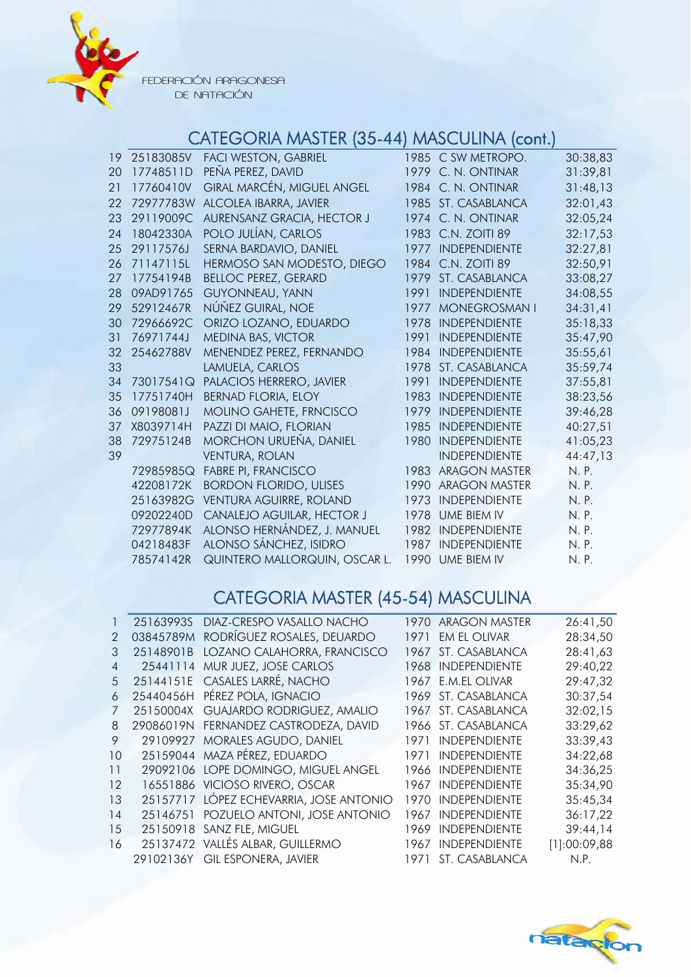

FEDERACIÓN ARAGONESA DE NATACIÓN

# CATEGORIA MASTER (35-44) MASCULINA (cont.)

| 19 | 25183085V | <b>FACI WESTON, GABRIEL</b>    |      | 1985 C SW METROPO.   | 30:38,83 |
|----|-----------|--------------------------------|------|----------------------|----------|
| 20 | 17748511D | PEÑA PEREZ, DAVID              |      | 1979 C. N. ONTINAR   | 31:39,81 |
| 21 | 17760410V | GIRAL MARCÉN, MIGUEL ANGEL     |      | 1984 C. N. ONTINAR   | 31:48,13 |
| 22 | 72977783W | ALCOLEA IBARRA, JAVIER         |      | 1985 ST. CASABLANCA  | 32:01,43 |
| 23 | 29119009C | AURENSANZ GRACIA, HECTOR J     |      | 1974 C. N. ONTINAR   | 32:05,24 |
| 24 | 18042330A | POLO JULÍAN, CARLOS            |      | 1983 C.N. ZOITI 89   | 32:17,53 |
| 25 | 29117576J | SERNA BARDAVIO, DANIEL         | 1977 | <b>INDEPENDIENTE</b> | 32:27,81 |
| 26 | 71147115L | HERMOSO SAN MODESTO, DIEGO     | 1984 | C.N. ZOITI 89        | 32:50,91 |
| 27 | 17754194B | <b>BELLOC PEREZ, GERARD</b>    | 1979 | ST. CASABLANCA       | 33:08,27 |
| 28 | 09AD91765 | <b>GUYONNEAU, YANN</b>         | 1991 | <b>INDEPENDIENTE</b> | 34:08,55 |
| 29 | 52912467R | NÚÑEZ GUIRAL, NOE              | 1977 | <b>MONEGROSMAN I</b> | 34:31,41 |
| 30 | 72966692C | ORIZO LOZANO, EDUARDO          | 1978 | <b>INDEPENDIENTE</b> | 35:18,33 |
| 31 | 76971744J | MEDINA BAS, VICTOR             | 1991 | <b>INDEPENDIENTE</b> | 35:47,90 |
| 32 | 25462788V | MENENDEZ PEREZ, FERNANDO       | 1984 | <b>INDEPENDIENTE</b> | 35:55,61 |
| 33 |           | LAMUELA, CARLOS                | 1978 | ST. CASABLANCA       | 35:59,74 |
| 34 | 73017541Q | PALACIOS HERRERO, JAVIER       | 1991 | <b>INDEPENDIENTE</b> | 37:55,81 |
| 35 | 17751740H | <b>BERNAD FLORIA, ELOY</b>     | 1983 | <b>INDEPENDIENTE</b> | 38:23,56 |
| 36 | 09198081J | MOLINO GAHETE, FRNCISCO        | 1979 | <b>INDEPENDIENTE</b> | 39:46,28 |
| 37 | X8039714H | PAZZI DI MAIO, FLORIAN         | 1985 | INDEPENDIENTE        | 40:27,51 |
| 38 | 72975124B | <b>MORCHON URUEÑA, DANIEL</b>  | 1980 | <b>INDEPENDIENTE</b> | 41:05,23 |
| 39 |           | <b>VENTURA, ROLAN</b>          |      | <b>INDEPENDIENTE</b> | 44:47,13 |
|    | 72985985Q | <b>FABRE PI, FRANCISCO</b>     | 1983 | <b>ARAGON MASTER</b> | N. P.    |
|    | 42208172K | <b>BORDON FLORIDO, ULISES</b>  | 1990 | <b>ARAGON MASTER</b> | N. P.    |
|    | 25163982G | <b>VENTURA AGUIRRE, ROLAND</b> | 1973 | <b>INDEPENDIENTE</b> | N. P.    |
|    | 09202240D | CANALEJO AGUILAR, HECTOR J     | 1978 | UME BIEM IV          | N. P.    |
|    | 72977894K | ALONSO HERNÁNDEZ, J. MANUEL    | 1982 | <b>INDEPENDIENTE</b> | N. P.    |
|    | 04218483F | ALONSO SÁNCHEZ, ISIDRO         | 1987 | <b>INDEPENDIENTE</b> | N. P.    |
|    | 78574142R | QUINTERO MALLORQUIN, OSCAR L.  |      | 1990 UME BIEM IV     | N. P.    |

# CATEGORIA MASTER (45-54) MASCULINA

|                | 25163993S | DIAZ-CRESPO VASALLO NACHO               | 1970. | <b>ARAGON MASTER</b> | 26:41,50     |
|----------------|-----------|-----------------------------------------|-------|----------------------|--------------|
| $\mathcal{P}$  | 03845789M | RODRÍGUEZ ROSALES, DEUARDO              | 1971  | <b>EM EL OLIVAR</b>  | 28:34,50     |
| 3              | 25148901B | LOZANO CALAHORRA, FRANCISCO             | 1967  | ST. CASABLANCA       | 28:41,63     |
| $\overline{4}$ |           | 25441114 MUR JUEZ, JOSE CARLOS          | 1968  | <b>INDEPENDIENTE</b> | 29:40,22     |
| 5              |           | 25144151E CASALES LARRÉ, NACHO          |       | 1967 E.M.EL OLIVAR   | 29:47,32     |
| 6              |           | 25440456H PÉREZ POLA, IGNACIO           |       | 1969 ST. CASABLANCA  | 30:37,54     |
|                |           | 25150004X GUAJARDO RODRIGUEZ, AMALIO    |       | 1967 ST. CASABLANCA  | 32:02,15     |
| 8              |           | 29086019N FERNANDEZ CASTRODEZA, DAVID   |       | 1966 ST. CASABLANCA  | 33:29,62     |
| 9              |           | 29109927 MORALES AGUDO, DANIEL          | 1971. | INDEPENDIENTE        | 33:39,43     |
| 10             |           | 25159044 MAZA PÉREZ, EDUARDO            | 1971  | <b>INDEPENDIENTE</b> | 34:22,68     |
| 11             |           | 29092106 LOPE DOMINGO, MIGUEL ANGEL     | 1966  | <b>INDEPENDIENTE</b> | 34:36,25     |
| 12             |           | 16551886 VICIOSO RIVERO, OSCAR          | 1967  | <b>INDEPENDIENTE</b> | 35:34,90     |
| 13             |           | 25157717 LÓPEZ ECHEVARRIA, JOSE ANTONIO | 1970  | <b>INDEPENDIENTE</b> | 35:45,34     |
| 14             |           | 25146751 POZUELO ANTONI, JOSE ANTONIO   | 1967  | <b>INDEPENDIENTE</b> | 36:17,22     |
| 15             |           | 25150918 SANZ FLE, MIGUEL               | 1969  | <b>INDEPENDIENTE</b> | 39:44,14     |
| 16             |           | 25137472 VALLÉS ALBAR, GUILLERMO        | 1967  | <b>INDEPENDIENTE</b> | [1]:00:09,88 |
|                |           | 29102136Y GIL ESPONERA, JAVIER          | 1971  | ST. CASABLANCA       | N.P.         |
|                |           |                                         |       |                      |              |